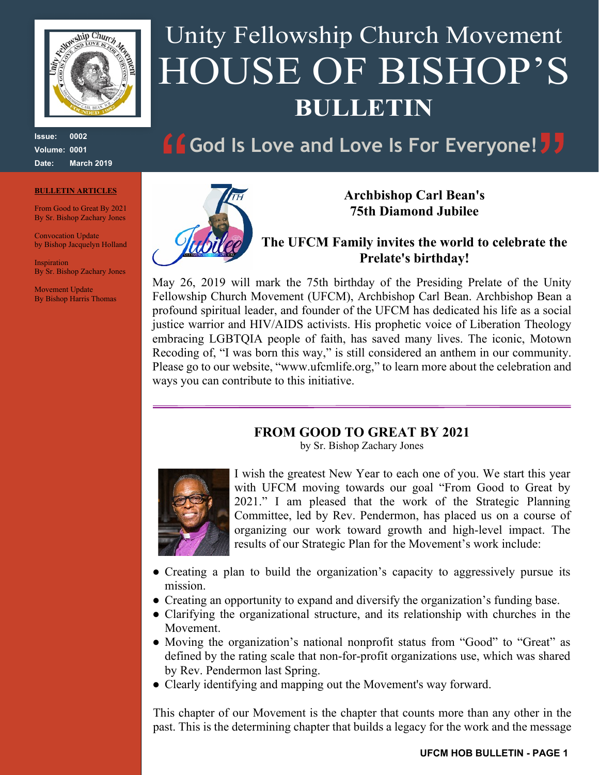

**Issue: 0002 Volume: 0001 Date: March 2019**

#### **BULLETIN ARTICLES**

From Good to Great By 2021 By Sr. Bishop Zachary Jones

Convocation Update by Bishop Jacquelyn Holland

**Inspiration** By Sr. Bishop Zachary Jones

Movement Update By Bishop Harris Thomas

# Unity Fellowship Church Movement HOUSE OF BISHOP'S **BULLETIN**

## **God Is Love and Love Is For Everyone!**



**Archbishop Carl Bean's 75th Diamond Jubilee**

**The UFCM Family invites the world to celebrate the Prelate's birthday!**

May 26, 2019 will mark the 75th birthday of the Presiding Prelate of the Unity Fellowship Church Movement (UFCM), Archbishop Carl Bean. Archbishop Bean a profound spiritual leader, and founder of the UFCM has dedicated his life as a social justice warrior and HIV/AIDS activists. His prophetic voice of Liberation Theology embracing LGBTQIA people of faith, has saved many lives. The iconic, Motown Recoding of, "I was born this way," is still considered an anthem in our community. Please go to our website, "www.ufcmlife.org," to learn more about the celebration and ways you can contribute to this initiative.

### **FROM GOOD TO GREAT BY 2021**

by Sr. Bishop Zachary Jones



I wish the greatest New Year to each one of you. We start this year with UFCM moving towards our goal "From Good to Great by 2021." I am pleased that the work of the Strategic Planning Committee, led by Rev. Pendermon, has placed us on a course of organizing our work toward growth and high-level impact. The results of our Strategic Plan for the Movement's work include:

- Creating a plan to build the organization's capacity to aggressively pursue its mission.
- Creating an opportunity to expand and diversify the organization's funding base.
- Clarifying the organizational structure, and its relationship with churches in the Movement.
- Moving the organization's national nonprofit status from "Good" to "Great" as defined by the rating scale that non-for-profit organizations use, which was shared by Rev. Pendermon last Spring.
- Clearly identifying and mapping out the Movement's way forward.

This chapter of our Movement is the chapter that counts more than any other in the past. This is the determining chapter that builds a legacy for the work and the message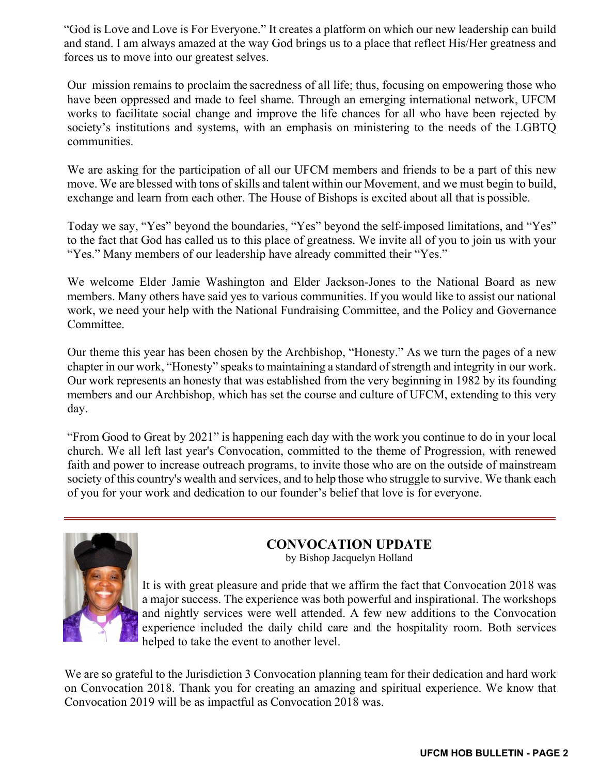"God is Love and Love is For Everyone." It creates a platform on which our new leadership can build and stand. I am always amazed at the way God brings us to a place that reflect His/Her greatness and forces us to move into our greatest selves.

Our mission remains to proclaim the sacredness of all life; thus, focusing on empowering those who have been oppressed and made to feel shame. Through an emerging international network, UFCM works to facilitate social change and improve the life chances for all who have been rejected by society's institutions and systems, with an emphasis on ministering to the needs of the LGBTQ communities.

We are asking for the participation of all our UFCM members and friends to be a part of this new move. We are blessed with tons of skills and talent within our Movement, and we must begin to build, exchange and learn from each other. The House of Bishops is excited about all that is possible.

Today we say, "Yes" beyond the boundaries, "Yes" beyond the self-imposed limitations, and "Yes" to the fact that God has called us to this place of greatness. We invite all of you to join us with your "Yes." Many members of our leadership have already committed their "Yes."

We welcome Elder Jamie Washington and Elder Jackson-Jones to the National Board as new members. Many others have said yes to various communities. If you would like to assist our national work, we need your help with the National Fundraising Committee, and the Policy and Governance Committee.

Our theme this year has been chosen by the Archbishop, "Honesty." As we turn the pages of a new chapter in our work, "Honesty" speaks to maintaining a standard of strength and integrity in our work. Our work represents an honesty that was established from the very beginning in 1982 by its founding members and our Archbishop, which has set the course and culture of UFCM, extending to this very day.

"From Good to Great by 2021" is happening each day with the work you continue to do in your local church. We all left last year's Convocation, committed to the theme of Progression, with renewed faith and power to increase outreach programs, to invite those who are on the outside of mainstream society of this country's wealth and services, and to help those who struggle to survive. We thank each of you for your work and dedication to our founder's belief that love is for everyone.



### **CONVOCATION UPDATE**

by Bishop Jacquelyn Holland

It is with great pleasure and pride that we affirm the fact that Convocation 2018 was a major success. The experience was both powerful and inspirational. The workshops and nightly services were well attended. A few new additions to the Convocation experience included the daily child care and the hospitality room. Both services helped to take the event to another level.

We are so grateful to the Jurisdiction 3 Convocation planning team for their dedication and hard work on Convocation 2018. Thank you for creating an amazing and spiritual experience. We know that Convocation 2019 will be as impactful as Convocation 2018 was.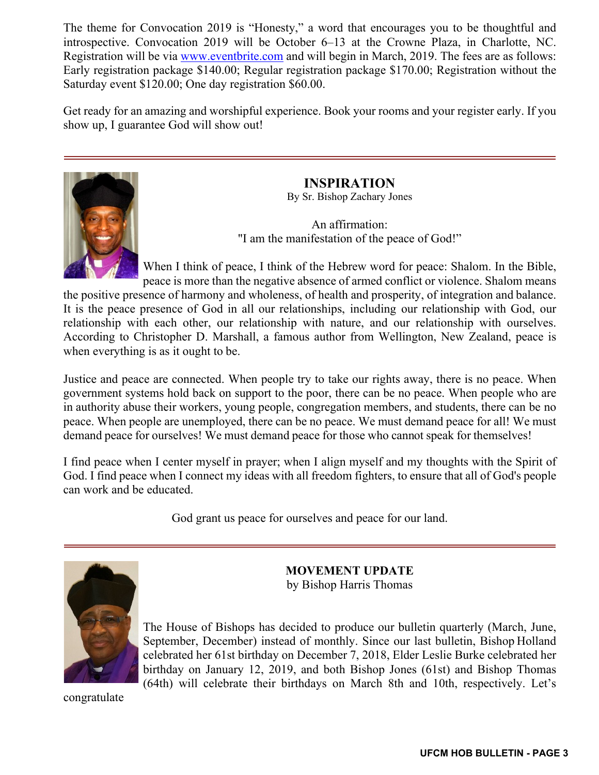The theme for Convocation 2019 is "Honesty," a word that encourages you to be thoughtful and introspective. Convocation 2019 will be October 6–13 at the Crowne Plaza, in Charlotte, NC. Registration will be via www.eventbrite.com and will begin in March, 2019. The fees are as follows: Early registration package \$140.00; Regular registration package \$170.00; Registration without the Saturday event \$120.00; One day registration \$60.00.

Get ready for an amazing and worshipful experience. Book your rooms and your register early. If you show up, I guarantee God will show out!



**INSPIRATION**

By Sr. Bishop Zachary Jones

An affirmation: "I am the manifestation of the peace of God!"

When I think of peace, I think of the Hebrew word for peace: Shalom. In the Bible, peace is more than the negative absence of armed conflict or violence. Shalom means

the positive presence of harmony and wholeness, of health and prosperity, of integration and balance. It is the peace presence of God in all our relationships, including our relationship with God, our relationship with each other, our relationship with nature, and our relationship with ourselves. According to Christopher D. Marshall, a famous author from Wellington, New Zealand, peace is when everything is as it ought to be.

Justice and peace are connected. When people try to take our rights away, there is no peace. When government systems hold back on support to the poor, there can be no peace. When people who are in authority abuse their workers, young people, congregation members, and students, there can be no peace. When people are unemployed, there can be no peace. We must demand peace for all! We must demand peace for ourselves! We must demand peace for those who cannot speak for themselves!

I find peace when I center myself in prayer; when I align myself and my thoughts with the Spirit of God. I find peace when I connect my ideas with all freedom fighters, to ensure that all of God's people can work and be educated.

God grant us peace for ourselves and peace for our land.



**MOVEMENT UPDATE** by Bishop Harris Thomas

The House of Bishops has decided to produce our bulletin quarterly (March, June, September, December) instead of monthly. Since our last bulletin, Bishop Holland celebrated her 61st birthday on December 7, 2018, Elder Leslie Burke celebrated her birthday on January 12, 2019, and both Bishop Jones (61st) and Bishop Thomas (64th) will celebrate their birthdays on March 8th and 10th, respectively. Let's

congratulate